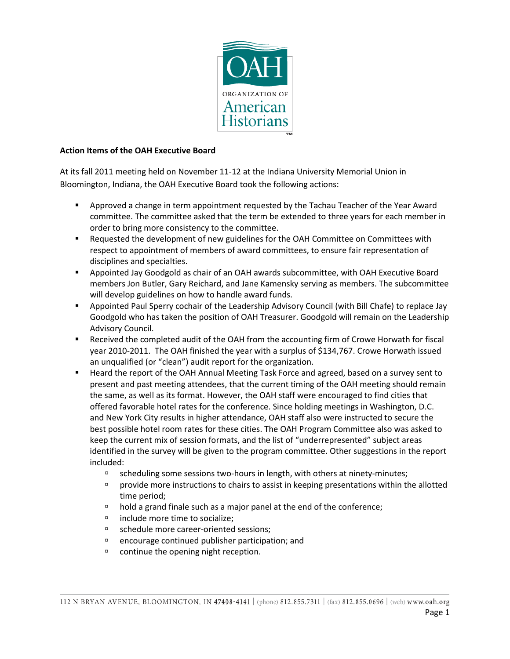

### **Action Items of the OAH Executive Board**

At its fall 2011 meeting held on November 11-12 at the Indiana University Memorial Union in Bloomington, Indiana, the OAH Executive Board took the following actions:

- Approved a change in term appointment requested by the Tachau Teacher of the Year Award committee. The committee asked that the term be extended to three years for each member in order to bring more consistency to the committee.
- Requested the development of new guidelines for the OAH Committee on Committees with respect to appointment of members of award committees, to ensure fair representation of disciplines and specialties.
- Appointed Jay Goodgold as chair of an OAH awards subcommittee, with OAH Executive Board members Jon Butler, Gary Reichard, and Jane Kamensky serving as members. The subcommittee will develop guidelines on how to handle award funds.
- Appointed Paul Sperry cochair of the Leadership Advisory Council (with Bill Chafe) to replace Jay Goodgold who has taken the position of OAH Treasurer. Goodgold will remain on the Leadership Advisory Council.
- Received the completed audit of the OAH from the accounting firm of Crowe Horwath for fiscal year 2010-2011. The OAH finished the year with a surplus of \$134,767. Crowe Horwath issued an unqualified (or "clean") audit report for the organization.
- Heard the report of the OAH Annual Meeting Task Force and agreed, based on a survey sent to present and past meeting attendees, that the current timing of the OAH meeting should remain the same, as well as its format. However, the OAH staff were encouraged to find cities that offered favorable hotel rates for the conference. Since holding meetings in Washington, D.C. and New York City results in higher attendance, OAH staff also were instructed to secure the best possible hotel room rates for these cities. The OAH Program Committee also was asked to keep the current mix of session formats, and the list of "underrepresented" subject areas identified in the survey will be given to the program committee. Other suggestions in the report included:
	- <sup>n</sup> scheduling some sessions two-hours in length, with others at ninety-minutes;
	- provide more instructions to chairs to assist in keeping presentations within the allotted time period;
	- $\Box$  hold a grand finale such as a major panel at the end of the conference;
	- □ include more time to socialize;
	- schedule more career-oriented sessions;
	- $\Box$  encourage continued publisher participation; and
	- <sup>n</sup> continue the opening night reception.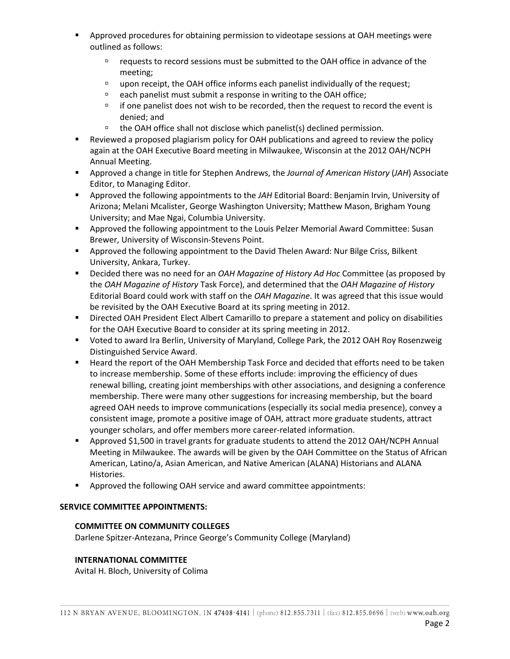- **•** Approved procedures for obtaining permission to videotape sessions at OAH meetings were outlined as follows:
	- requests to record sessions must be submitted to the OAH office in advance of the meeting;
	- □ upon receipt, the OAH office informs each panelist individually of the request;
	- each panelist must submit a response in writing to the OAH office;
	- $\Box$  if one panelist does not wish to be recorded, then the request to record the event is denied; and
	- $\Box$  the OAH office shall not disclose which panelist(s) declined permission.
- Reviewed a proposed plagiarism policy for OAH publications and agreed to review the policy again at the OAH Executive Board meeting in Milwaukee, Wisconsin at the 2012 OAH/NCPH Annual Meeting.
- Approved a change in title for Stephen Andrews, the *Journal of American History* (*JAH*) Associate Editor, to Managing Editor.
- Approved the following appointments to the *JAH* Editorial Board: Benjamin Irvin, University of Arizona; Melani Mcalister, George Washington University; Matthew Mason, Brigham Young University; and Mae Ngai, Columbia University.
- **Approved the following appointment to the Louis Pelzer Memorial Award Committee: Susan** Brewer, University of Wisconsin-Stevens Point.
- **Approved the following appointment to the David Thelen Award: Nur Bilge Criss, Bilkent** University, Ankara, Turkey.
- Decided there was no need for an *OAH Magazine of History Ad Hoc* Committee (as proposed by the *OAH Magazine of History* Task Force), and determined that the *OAH Magazine of History* Editorial Board could work with staff on the *OAH Magazine*. It was agreed that this issue would be revisited by the OAH Executive Board at its spring meeting in 2012.
- Directed OAH President Elect Albert Camarillo to prepare a statement and policy on disabilities for the OAH Executive Board to consider at its spring meeting in 2012.
- Voted to award Ira Berlin, University of Maryland, College Park, the 2012 OAH Roy Rosenzweig Distinguished Service Award.
- Heard the report of the OAH Membership Task Force and decided that efforts need to be taken to increase membership. Some of these efforts include: improving the efficiency of dues renewal billing, creating joint memberships with other associations, and designing a conference membership. There were many other suggestions for increasing membership, but the board agreed OAH needs to improve communications (especially its social media presence), convey a consistent image, promote a positive image of OAH, attract more graduate students, attract younger scholars, and offer members more career-related information.
- Approved \$1,500 in travel grants for graduate students to attend the 2012 OAH/NCPH Annual Meeting in Milwaukee. The awards will be given by the OAH Committee on the Status of African American, Latino/a, Asian American, and Native American (ALANA) Historians and ALANA Histories.
- **EXECT** Approved the following OAH service and award committee appointments:

# **SERVICE COMMITTEE APPOINTMENTS:**

# **COMMITTEE ON COMMUNITY COLLEGES**

Darlene Spitzer-Antezana, Prince George's Community College (Maryland)

# **INTERNATIONAL COMMITTEE**

Avital H. Bloch, University of Colima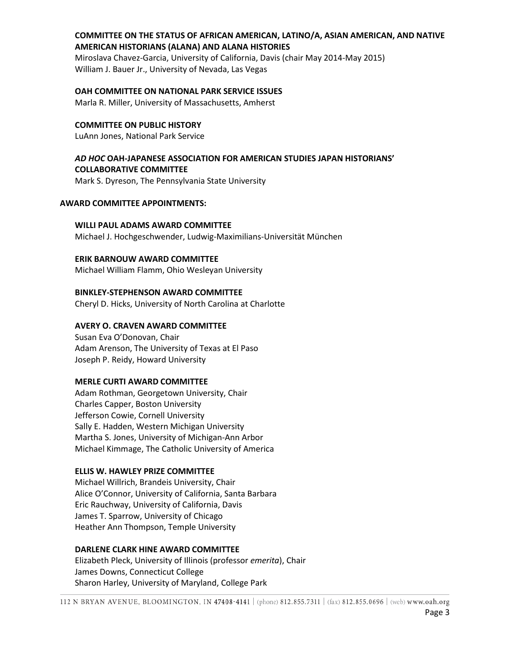# **COMMITTEE ON THE STATUS OF AFRICAN AMERICAN, LATINO/A, ASIAN AMERICAN, AND NATIVE AMERICAN HISTORIANS (ALANA) AND ALANA HISTORIES**

Miroslava Chavez-Garcia, University of California, Davis (chair May 2014-May 2015) William J. Bauer Jr., University of Nevada, Las Vegas

### **OAH COMMITTEE ON NATIONAL PARK SERVICE ISSUES**

Marla R. Miller, University of Massachusetts, Amherst

# **COMMITTEE ON PUBLIC HISTORY**

LuAnn Jones, National Park Service

# *AD HOC* **OAH-JAPANESE ASSOCIATION FOR AMERICAN STUDIES JAPAN HISTORIANS' COLLABORATIVE COMMITTEE**

Mark S. Dyreson, The Pennsylvania State University

### **AWARD COMMITTEE APPOINTMENTS:**

### **WILLI PAUL ADAMS AWARD COMMITTEE**

Michael J. Hochgeschwender, Ludwig-Maximilians-Universität München

### **ERIK BARNOUW AWARD COMMITTEE**

Michael William Flamm, Ohio Wesleyan University

# **BINKLEY-STEPHENSON AWARD COMMITTEE**

Cheryl D. Hicks, University of North Carolina at Charlotte

# **AVERY O. CRAVEN AWARD COMMITTEE**

Susan Eva O'Donovan, Chair Adam Arenson, The University of Texas at El Paso Joseph P. Reidy, Howard University

### **MERLE CURTI AWARD COMMITTEE**

Adam Rothman, Georgetown University, Chair Charles Capper, Boston University Jefferson Cowie, Cornell University Sally E. Hadden, Western Michigan University Martha S. Jones, University of Michigan-Ann Arbor Michael Kimmage, The Catholic University of America

# **ELLIS W. HAWLEY PRIZE COMMITTEE**

Michael Willrich, Brandeis University, Chair Alice O'Connor, University of California, Santa Barbara Eric Rauchway, University of California, Davis James T. Sparrow, University of Chicago Heather Ann Thompson, Temple University

### **DARLENE CLARK HINE AWARD COMMITTEE**

Elizabeth Pleck, University of Illinois (professor *emerita*), Chair James Downs, Connecticut College Sharon Harley, University of Maryland, College Park